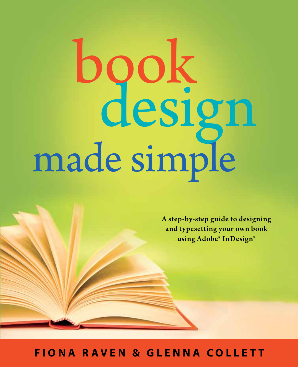# made simple design book

A step-by-step guide to designing and typesetting your own book using Adobe® InDesign®

**FIONA RAVEN & GLENNA COLLETT**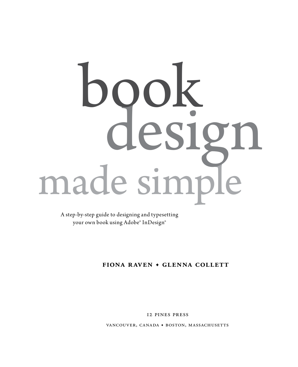# made simpl design book

A step-by-step guide to designing and typesetting your own book using Adobe® InDesign®

# **Fiona Raven • Glenna Collett**

12 pines press

vancouver, canada **•** boston, massachusetts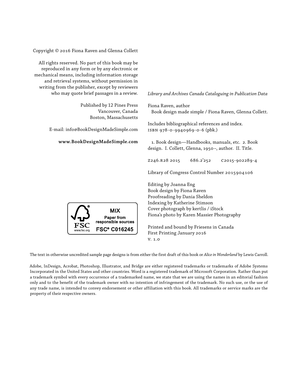Copyright © 2016 Fiona Raven and Glenna Collett

All rights reserved. No part of this book may be reproduced in any form or by any electronic or mechanical means, including information storage and retrieval systems, without permission in writing from the publisher, except by reviewers who may quote brief passages in a review.

> Published by 12 Pines Press Vancouver, Canada Boston, Massachusetts

E-mail: info@BookDesignMadeSimple.com

#### **www.BookDesignMadeSimple.com**

*Library and Archives Canada Cataloguing in Publication Data*

Fiona Raven, author Book design made simple / Fiona Raven, Glenna Collett.

Includes bibliographical references and index. ISBN 978-0-9940969-0-6 (pbk.)

 1. Book design—Handbooks, manuals, etc. 2. Book design. I. Collett, Glenna, 1950–, author. II. Title.

Z246.R28 2015 686.2'252 C2015-902289-4

Library of Congress Control Number 2015904106

Editing by Joanna Eng Book design by Fiona Raven Proofreading by Dania Sheldon Indexing by Katherine Stimson Cover photograph by kertlis / iStock Fiona's photo by Karen Massier Photography

Printed and bound by Friesens in Canada First Printing January 2016 v. 1.0

The text in otherwise uncredited sample page designs is from either the first draft of this book or *Alice in Wonderland* by Lewis Carroll.

Adobe, InDesign, Acrobat, Photoshop, Illustrator, and Bridge are either registered trademarks or trademarks of Adobe Systems Incorporated in the United States and other countries. Word is a registered trademark of Microsoft Corporation. Rather than put a trademark symbol with every occurrence of a trademarked name, we state that we are using the names in an editorial fashion only and to the benefit of the trademark owner with no intention of infringement of the trademark. No such use, or the use of any trade name, is intended to convey endorsement or other affiliation with this book. All trademarks or service marks are the property of their respective owners.

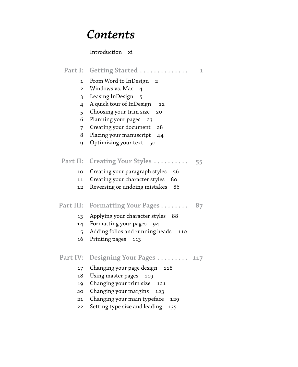# *Contents*

# Introduction xi

|                 | Part I: Getting Started<br>1            |
|-----------------|-----------------------------------------|
| $\mathbf 1$     | From Word to InDesign<br>$\overline{2}$ |
| $\overline{2}$  | Windows vs. Mac<br>$\overline{a}$       |
| 3               | Leasing InDesign<br>5                   |
| 4               | A quick tour of InDesign<br>12          |
| 5               | Choosing your trim size<br>20           |
| 6               | Planning your pages<br>23               |
| 7               | Creating your document<br>28            |
| 8               | Placing your manuscript<br>44           |
| 9               | Optimizing your text 50                 |
|                 |                                         |
| Part II:        | Creating Your Styles<br>55              |
| 10              | Creating your paragraph styles<br>56    |
| 11              | Creating your character styles<br>80    |
| 12              | Reversing or undoing mistakes<br>86     |
|                 |                                         |
| Part III:       | Formatting Your Pages<br>87             |
| 13              | Applying your character styles<br>88    |
| 14              | Formatting your pages<br>94             |
| 15 <sub>1</sub> | Adding folios and running heads<br>110  |
| 16              | Printing pages<br>113                   |
|                 |                                         |
| Part IV:        | Designing Your Pages<br>117             |
| 17              | Changing your page design<br>118        |
| 18              | Using master pages<br>119               |
| 19              | Changing your trim size<br>121          |
| 20              | Changing your margins<br>123            |
| 21              | Changing your main typeface<br>129      |
| 22              | Setting type size and leading<br>135    |
|                 |                                         |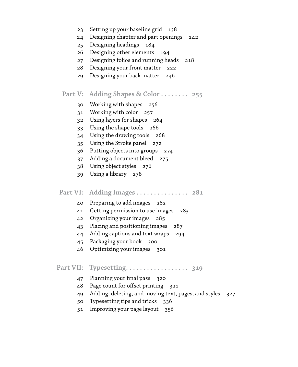- Setting up your baseline grid 138
- Designing chapter and part openings 142
- Designing headings 184
- Designing other elements 194
- Designing folios and running heads 218
- Designing your front matter 222
- Designing your back matter 246

# **Part V: Adding Shapes & Color . . . . . . . . 255**

- Working with shapes 256
- Working with color 257
- Using layers for shapes 264
- Using the shape tools 266
- Using the drawing tools 268
- Using the Stroke panel 272
- Putting objects into groups 274
- Adding a document bleed 275
- Using object styles 276
- Using a library 278
- **Part VI:** Adding Images . . . . . . . . . . . . . 281
	- Preparing to add images 282
	- Getting permission to use images 283
	- Organizing your images 285
	- Placing and positioning images 287
	- Adding captions and text wraps 294
	- Packaging your book 300
	- Optimizing your images 301

# **Part VII: Typesetting . 319**

- Planning your final pass 320
- Page count for offset printing 321
- Adding, deleting, and moving text, pages, and styles 327
- Typesetting tips and tricks 336
- Improving your page layout 356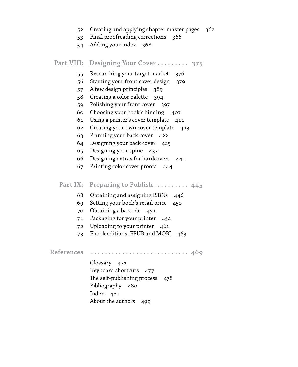- Creating and applying chapter master pages 362
- Final proofreading corrections 366
- Adding your index 368

|  | Part VIII: Designing Your Cover  375 |  |  |  |  |  |
|--|--------------------------------------|--|--|--|--|--|
|--|--------------------------------------|--|--|--|--|--|

- Researching your target market 376
- Starting your front cover design 379
- A few design principles 389
- Creating a color palette 394
- Polishing your front cover 397
- Choosing your book's binding 407
- Using a printer's cover template 411
- Creating your own cover template 413
- Planning your back cover 422
- Designing your back cover 425
- Designing your spine 437
- Designing extras for hardcovers 441
- Printing color cover proofs 444
- Part IX: Preparing to Publish . . . . . . . . . . 445
	- Obtaining and assigning ISBNs 446
	- Setting your book's retail price 450
	- Obtaining a barcode 451
	- Packaging for your printer 452
	- Uploading to your printer 461
	- Ebook editions: EPUB and MOBI 463

References .............................. 469

Glossary 471 Keyboard shortcuts 477 The self-publishing process 478 Bibliography 480 Index 481 About the authors 499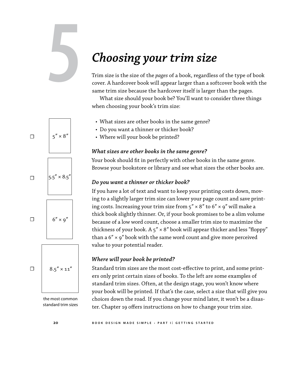# *Choosing your trim size*

Trim size is the size of the *pages* of a book, regardless of the type of book cover. A hardcover book will appear larger than a softcover book with the same trim size because the hardcover itself is larger than the pages.

What size should your book be? You'll want to consider three things when choosing your book's trim size:

- What sizes are other books in the same genre?
- Do you want a thinner or thicker book?
- Where will your book be printed?

#### *What sizes are other books in the same genre?*

Your book should fit in perfectly with other books in the same genre. Browse your bookstore or library and see what sizes the other books are.

#### *Do you want a thinner or thicker book?*

If you have a lot of text and want to keep your printing costs down, moving to a slightly larger trim size can lower your page count and save printing costs. Increasing your trim size from  $5'' \times 8''$  to  $6'' \times 9''$  will make a thick book slightly thinner. Or, if your book promises to be a slim volume because of a low word count, choose a smaller trim size to maximize the thickness of your book. A  $5'' \times 8''$  book will appear thicker and less "floppy" than a  $6'' \times 9''$  book with the same word count and give more perceived value to your potential reader.

#### *Where will your book be printed?*

Standard trim sizes are the most cost-effective to print, and some printers only print certain sizes of books. To the left are some examples of standard trim sizes. Often, at the design stage, you won't know where your book will be printed. If that's the case, select a size that will give you choices down the road. If you change your mind later, it won't be a disaster. Chapter 19 offers instructions on how to change your trim size.

the most common standard trim sizes

 $8.5'' \times 11''$  $6'' \times 9''$ 

☐

☐

☐

☐

 $5.5'' \times 8.5'$ 

 $5'' \times 8''$ 

**5**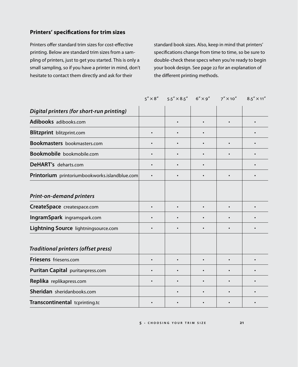# **Printers' specifications for trim sizes**

Printers offer standard trim sizes for cost-effective printing. Below are standard trim sizes from a sampling of printers, just to get you started. This is only a small sampling, so if you have a printer in mind, don't hesitate to contact them directly and ask for their

standard book sizes. Also, keep in mind that printers' specifications change from time to time, so be sure to double-check these specs when you're ready to begin your book design. See page 22 for an explanation of the different printing methods.

|                                               | $5'' \times 8''$ $5.5'' \times 8.5''$ $6'' \times 9''$ | $7''$ $\times$ 10" | $8.5'' \times 11''$ |
|-----------------------------------------------|--------------------------------------------------------|--------------------|---------------------|
| Digital printers (for short-run printing)     |                                                        |                    |                     |
| Adibooks adibooks.com                         |                                                        |                    |                     |
| <b>Blitzprint</b> blitzprint.com              |                                                        |                    |                     |
| <b>Bookmasters</b> bookmasters.com            |                                                        |                    |                     |
| Bookmobile bookmobile.com                     |                                                        |                    |                     |
| DeHART's deharts.com                          |                                                        |                    |                     |
| Printorium printoriumbookworks.islandblue.com | $\bullet$                                              | $\bullet$          |                     |
| <b>Print-on-demand printers</b>               |                                                        |                    |                     |
| CreateSpace createspace.com                   |                                                        |                    |                     |
| IngramSpark ingramspark.com                   |                                                        |                    |                     |
| Lightning Source lightningsource.com          |                                                        |                    |                     |
| <b>Traditional printers (offset press)</b>    |                                                        |                    |                     |
| <b>Friesens</b> friesens.com                  |                                                        |                    |                     |
| Puritan Capital puritanpress.com              |                                                        |                    |                     |
| Replika replikapress.com                      |                                                        |                    |                     |
| Sheridan sheridanbooks.com                    |                                                        |                    |                     |
| Transcontinental tcprinting.tc                |                                                        |                    |                     |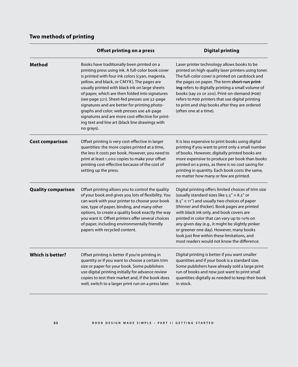# **Two methods of printing**

|                           | Offset printing on a press                                                                                                                                                                                                                                                                                                                                                                                                                                                                                                                                                 | <b>Digital printing</b>                                                                                                                                                                                                                                                                                                                                                                                                                                                                                           |
|---------------------------|----------------------------------------------------------------------------------------------------------------------------------------------------------------------------------------------------------------------------------------------------------------------------------------------------------------------------------------------------------------------------------------------------------------------------------------------------------------------------------------------------------------------------------------------------------------------------|-------------------------------------------------------------------------------------------------------------------------------------------------------------------------------------------------------------------------------------------------------------------------------------------------------------------------------------------------------------------------------------------------------------------------------------------------------------------------------------------------------------------|
| Method                    | Books have traditionally been printed on a<br>printing press using ink. A full-color book cover<br>is printed with four ink colors (cyan, magenta,<br>yellow, and black, or CMYK). The pages are<br>usually printed with black ink on large sheets<br>of paper, which are then folded into signatures<br>(see page 321). Sheet-fed presses use 32-page<br>signatures and are better for printing photo-<br>graphs and color; web presses use 48-page<br>signatures and are more cost-effective for print-<br>ing text and line art (black line drawings with<br>no grays). | Laser printer technology allows books to be<br>printed on high-quality laser printers using toner.<br>The full-color cover is printed on cardstock and<br>the pages on paper. The term short-run print-<br>ing refers to digitally printing a small volume of<br>books (say 20 or 200). Print-on-demand (POD)<br>refers to POD printers that use digital printing<br>to print and ship books after they are ordered<br>(often one at a time).                                                                     |
| <b>Cost comparison</b>    | Offset printing is very cost-effective in larger<br>quantities: the more copies printed at a time,<br>the less it costs per book. However, you need to<br>print at least 1,000 copies to make your offset<br>printing cost-effective because of the cost of<br>setting up the press.                                                                                                                                                                                                                                                                                       | It is less expensive to print books using digital<br>printing if you want to print only a small number<br>of books. However, digitally printed books are<br>more expensive to produce per book than books<br>printed on a press, as there is no cost saving for<br>printing in quantity. Each book costs the same,<br>no matter how many or few are printed.                                                                                                                                                      |
| <b>Quality comparison</b> | Offset printing allows you to control the quality<br>of your book and gives you lots of flexibility. You<br>can work with your printer to choose your book<br>size, type of paper, binding, and many other<br>options, to create a quality book exactly the way<br>you want it. Offset printers offer several choices<br>of paper, including environmentally friendly<br>papers with recycled content.                                                                                                                                                                     | Digital printing offers limited choices of trim size<br>(usually standard sizes like $5.5'' \times 8.5''$ or<br>$8.5'' \times 11''$ ) and usually two choices of paper<br>(thinner and thicker). Book pages are printed<br>with black ink only, and book covers are<br>printed in color that can vary up to 10% on<br>any given day (e.g., it might be slightly pinker<br>or greener one day). However, many books<br>look just fine within these limitations, and<br>most readers would not know the difference. |
| <b>Which is better?</b>   | Offset printing is better if you're printing in<br>quantity or if you want to choose a certain trim<br>size or paper for your book. Some publishers<br>use digital printing initially for advance review<br>copies to test their market and, if the book does<br>well, switch to a larger print run on a press later.                                                                                                                                                                                                                                                      | Digital printing is better if you want smaller<br>quantities and if your book is a standard size.<br>Some publishers have already sold a large print<br>run of books and now just want to print small<br>quantities digitally as needed to keep their book<br>in stock.                                                                                                                                                                                                                                           |

**22 b OOK DESIGN MADE SIMPLE · PART I: GETTING STARTED**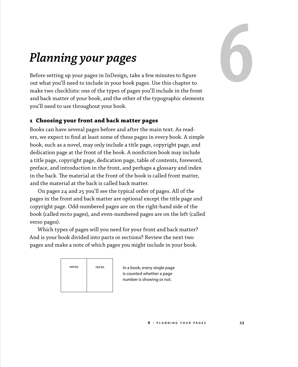

# *Planning your pages*

Before setting up your pages in InDesign, take a few minutes to figure out what you'll need to include in your book pages. Use this chapter to make two checklists: one of the types of pages you'll include in the front and back matter of your book, and the other of the typographic elements you'll need to use throughout your book.

## **1 Choosing your front and back matter pages**

Books can have several pages before and after the main text. As readers, we expect to find at least some of these pages in every book. A simple book, such as a novel, may only include a title page, copyright page, and dedication page at the front of the book. A nonfiction book may include a title page, copyright page, dedication page, table of contents, foreword, preface, and introduction in the front, and perhaps a glossary and index in the back. The material at the front of the book is called front matter, and the material at the back is called back matter.

On pages 24 and 25 you'll see the typical order of pages. All of the pages in the front and back matter are optional except the title page and copyright page. Odd-numbered pages are on the right-hand side of the book (called recto pages), and even-numbered pages are on the left (called verso pages).

Which types of pages will you need for your front and back matter? And is your book divided into parts or sections? Review the next two pages and make a note of which pages you might include in your book.

| verso | recto |
|-------|-------|
|       |       |

In a book, every single page is counted whether a page number is showing or not.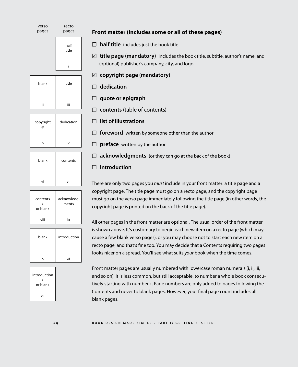

| blank | contents |
|-------|----------|
| vi    | vii      |







## **Front matter (includes some or all of these pages)**

☐ **half title** includes just the book title

☑ **title page (mandatory)** includes the book title, subtitle, author's name, and (optional) publisher's company, city, and logo

- ☑ **copyright page (mandatory)**
- ☐ **dedication**
- ☐ **quote or epigraph**
- ☐ **contents** (table of contents)
- ☐ **list of illustrations**
- □ **foreword** written by someone other than the author
- □ **preface** written by the author
- □ **acknowledgments** (or they can go at the back of the book)

## ☐ **introduction**

There are only two pages you *must* include in your front matter: a title page and a copyright page. The title page must go on a recto page, and the copyright page must go on the verso page immediately following the title page (in other words, the copyright page is printed on the back of the title page).

All other pages in the front matter are optional. The usual order of the front matter is shown above. It's customary to begin each new item on a recto page (which may cause a few blank verso pages), or you may choose not to start each new item on a recto page, and that's fine too. You may decide that a Contents requiring two pages looks nicer on a spread. You'll see what suits *your* book when the time comes.

Front matter pages are usually numbered with lowercase roman numerals (i, ii, iii, and so on). It is less common, but still acceptable, to number a whole book consecutively starting with number 1. Page numbers are only added to pages following the Contents and never to blank pages. However, your final page count includes all blank pages.

#### **24 b o o k d e s i g n m a d e s i m p l e . p a r t <sup>i</sup> : g e t t i n g s t a r t e d**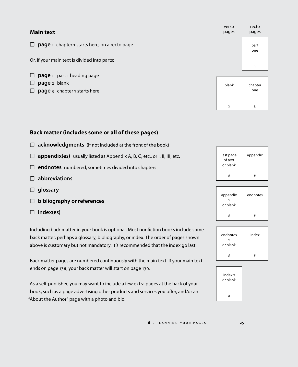| <b>Main text</b>                                               | verso<br>pages | recto<br>pages |
|----------------------------------------------------------------|----------------|----------------|
| <b>page</b> 1 chapter 1 starts here, on a recto page<br>$\Box$ |                | part<br>one    |
| Or, if your main text is divided into parts:                   |                | 1              |
| page 1 part 1 heading page<br>⊔                                |                |                |
| page 2 blank<br>⊔                                              | blank          | chapter        |
| <b>page</b> 3 chapter 1 starts here<br>$\Box$                  |                | one            |
|                                                                |                |                |

## **Back matter (includes some or all of these pages)**

- ☐ **acknowledgments** (if not included at the front of the book)
- □ **appendix(es)** usually listed as Appendix A, B, C, etc., or I, II, III, etc.
- ☐ **endnotes** numbered, sometimes divided into chapters
- ☐ **abbreviations**
- ☐ **glossary**
- ☐ **bibliography or references**
- ☐ **index(es)**

Including back matter in your book is optional. Most nonfiction books include some back matter, perhaps a glossary, bibliography, or index. The order of pages shown above is customary but not mandatory. It's recommended that the index go last.

Back matter pages are numbered continuously with the main text. If your main text ends on page 138, your back matter will start on page 139.

As a self-publisher, you may want to include a few extra pages at the back of your book, such as a page advertising other products and services you offer, and/or an "About the Author" page with a photo and bio.

| last page<br>of text<br>or blank | appendix |
|----------------------------------|----------|
| Ħ                                | #        |

2 3

| appendix<br>$\overline{2}$<br>or blank | endnotes |
|----------------------------------------|----------|
| #                                      | #        |





**6 . p l a n n i n g y o u r p a g e s 25**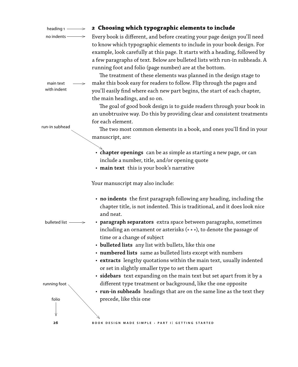| heading $1 \longrightarrow$  | 2 Choosing which typographic elements to include                                                                                                                                                                                                                                                                                                                            |
|------------------------------|-----------------------------------------------------------------------------------------------------------------------------------------------------------------------------------------------------------------------------------------------------------------------------------------------------------------------------------------------------------------------------|
| no indents $\longrightarrow$ | Every book is different, and before creating your page design you'll need<br>to know which typographic elements to include in your book design. For<br>example, look carefully at this page. It starts with a heading, followed by<br>a few paragraphs of text. Below are bulleted lists with run-in subheads. A<br>running foot and folio (page number) are at the bottom. |
|                              | The treatment of these elements was planned in the design stage to                                                                                                                                                                                                                                                                                                          |
| main text                    | make this book easy for readers to follow. Flip through the pages and                                                                                                                                                                                                                                                                                                       |
| with indent                  | you'll easily find where each new part begins, the start of each chapter,                                                                                                                                                                                                                                                                                                   |
|                              | the main headings, and so on.                                                                                                                                                                                                                                                                                                                                               |
|                              | The goal of good book design is to guide readers through your book in<br>an unobtrusive way. Do this by providing clear and consistent treatments                                                                                                                                                                                                                           |
|                              | for each element.                                                                                                                                                                                                                                                                                                                                                           |
| run-in subhead               | The two most common elements in a book, and ones you'll find in your<br>manuscript, are:                                                                                                                                                                                                                                                                                    |
|                              |                                                                                                                                                                                                                                                                                                                                                                             |
|                              | • chapter openings can be as simple as starting a new page, or can<br>include a number, title, and/or opening quote                                                                                                                                                                                                                                                         |
|                              | • main text this is your book's narrative                                                                                                                                                                                                                                                                                                                                   |
|                              | Your manuscript may also include:                                                                                                                                                                                                                                                                                                                                           |
|                              | • no indents the first paragraph following any heading, including the<br>chapter title, is not indented. This is traditional, and it does look nice<br>and neat.                                                                                                                                                                                                            |
| bulleted list -              | • paragraph separators extra space between paragraphs, sometimes<br>including an ornament or asterisks (***), to denote the passage of                                                                                                                                                                                                                                      |
|                              | time or a change of subject                                                                                                                                                                                                                                                                                                                                                 |
|                              | • bulleted lists any list with bullets, like this one<br>• numbered lists same as bulleted lists except with numbers                                                                                                                                                                                                                                                        |
|                              | • extracts lengthy quotations within the main text, usually indented                                                                                                                                                                                                                                                                                                        |
|                              | or set in slightly smaller type to set them apart                                                                                                                                                                                                                                                                                                                           |
| running foot                 | · sidebars text expanding on the main text but set apart from it by a<br>different type treatment or background, like the one opposite                                                                                                                                                                                                                                      |
|                              | • run-in subheads headings that are on the same line as the text they                                                                                                                                                                                                                                                                                                       |
| folio                        | precede, like this one                                                                                                                                                                                                                                                                                                                                                      |
|                              |                                                                                                                                                                                                                                                                                                                                                                             |
| 26                           | BOOK DESIGN MADE SIMPLE · PART I: GETTING STARTED                                                                                                                                                                                                                                                                                                                           |
|                              |                                                                                                                                                                                                                                                                                                                                                                             |